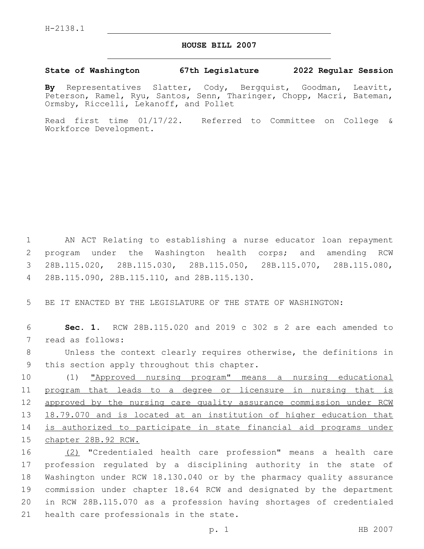## **HOUSE BILL 2007**

## **State of Washington 67th Legislature 2022 Regular Session**

**By** Representatives Slatter, Cody, Bergquist, Goodman, Leavitt, Peterson, Ramel, Ryu, Santos, Senn, Tharinger, Chopp, Macri, Bateman, Ormsby, Riccelli, Lekanoff, and Pollet

Read first time 01/17/22. Referred to Committee on College & Workforce Development.

 AN ACT Relating to establishing a nurse educator loan repayment program under the Washington health corps; and amending RCW 28B.115.020, 28B.115.030, 28B.115.050, 28B.115.070, 28B.115.080, 28B.115.090, 28B.115.110, and 28B.115.130.4

5 BE IT ENACTED BY THE LEGISLATURE OF THE STATE OF WASHINGTON:

6 **Sec. 1.** RCW 28B.115.020 and 2019 c 302 s 2 are each amended to 7 read as follows:

8 Unless the context clearly requires otherwise, the definitions in 9 this section apply throughout this chapter.

 (1) "Approved nursing program" means a nursing educational program that leads to a degree or licensure in nursing that is 12 approved by the nursing care quality assurance commission under RCW 18.79.070 and is located at an institution of higher education that is authorized to participate in state financial aid programs under chapter 28B.92 RCW.

 (2) "Credentialed health care profession" means a health care profession regulated by a disciplining authority in the state of Washington under RCW 18.130.040 or by the pharmacy quality assurance commission under chapter 18.64 RCW and designated by the department in RCW 28B.115.070 as a profession having shortages of credentialed 21 health care professionals in the state.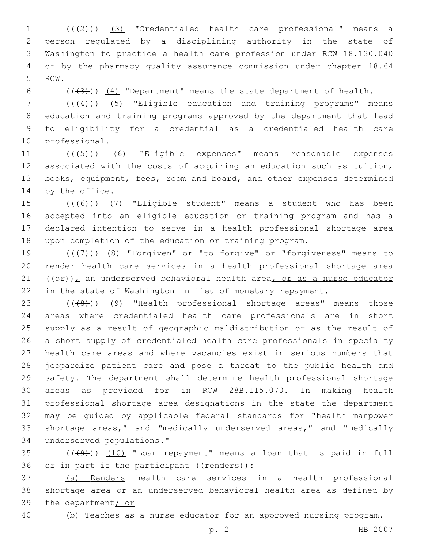1 (( $(2)$ )) (3) "Credentialed health care professional" means a person regulated by a disciplining authority in the state of Washington to practice a health care profession under RCW 18.130.040 or by the pharmacy quality assurance commission under chapter 18.64 5 RCW.

6  $((+3))$   $(4)$  "Department" means the state department of health.

7 ((+4))) (5) "Eligible education and training programs" means education and training programs approved by the department that lead to eligibility for a credential as a credentialed health care 10 professional.

11 (((45)) (6) "Eligible expenses" means reasonable expenses associated with the costs of acquiring an education such as tuition, books, equipment, fees, room and board, and other expenses determined 14 by the office.

 $((+6))$   $(7)$  "Eligible student" means a student who has been accepted into an eligible education or training program and has a declared intention to serve in a health professional shortage area upon completion of the education or training program.

 $((+7+))$   $(8)$  "Forgiven" or "to forgive" or "forgiveness" means to render health care services in a health professional shortage area  $((\theta \cdot \hat{r}))$ , an underserved behavioral health area, or as a nurse educator in the state of Washington in lieu of monetary repayment.

23 (((8)) (9) "Health professional shortage areas" means those areas where credentialed health care professionals are in short supply as a result of geographic maldistribution or as the result of a short supply of credentialed health care professionals in specialty health care areas and where vacancies exist in serious numbers that jeopardize patient care and pose a threat to the public health and safety. The department shall determine health professional shortage areas as provided for in RCW 28B.115.070. In making health professional shortage area designations in the state the department may be guided by applicable federal standards for "health manpower shortage areas," and "medically underserved areas," and "medically underserved populations."34

 $(1)$   $(1)$   $(10)$  "Loan repayment" means a loan that is paid in full 36 or in part if the participant  $((**renders**))$ :

 (a) Renders health care services in a health professional shortage area or an underserved behavioral health area as defined by 39 the department; or

(b) Teaches as a nurse educator for an approved nursing program.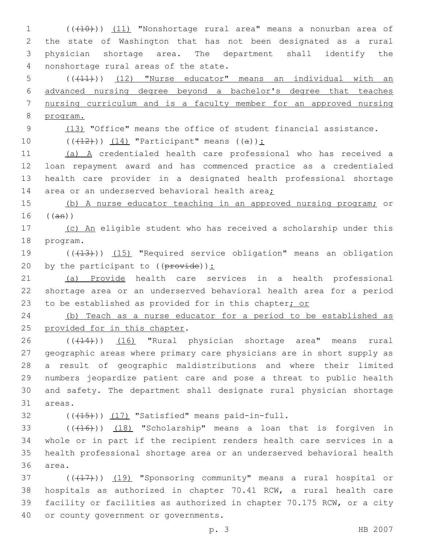1 (((10))) (11) "Nonshortage rural area" means a nonurban area of 2 the state of Washington that has not been designated as a rural 3 physician shortage area. The department shall identify the 4 nonshortage rural areas of the state.

 (((11))) (12) "Nurse educator" means an individual with an advanced nursing degree beyond a bachelor's degree that teaches nursing curriculum and is a faculty member for an approved nursing 8 program.

9 (13) "Office" means the office of student financial assistance.

10  $((+12)^{n})$   $(14)$  "Participant" means  $((a))$ :

 (a) A credentialed health care professional who has received a loan repayment award and has commenced practice as a credentialed health care provider in a designated health professional shortage 14 area or an underserved behavioral health area;

15 (b) A nurse educator teaching in an approved nursing program; or  $16$  (( $\text{an}$ ))

17 (c) An eligible student who has received a scholarship under this 18 program.

19 (((413))) (15) "Required service obligation" means an obligation 20 by the participant to  $((\text{prove})):$ 

21 (a) Provide health care services in a health professional 22 shortage area or an underserved behavioral health area for a period 23 to be established as provided for in this chapter; or

24 (b) Teach as a nurse educator for a period to be established as 25 provided for in this chapter.

26 ((+14))) (16) "Rural physician shortage area" means rural geographic areas where primary care physicians are in short supply as a result of geographic maldistributions and where their limited numbers jeopardize patient care and pose a threat to public health and safety. The department shall designate rural physician shortage 31 areas.

 $($   $($   $($   $($   $($   $+$   $15$  $))$   $($   $17)$  "Satisfied" means paid-in-full.

33 (((416))) (18) "Scholarship" means a loan that is forgiven in 34 whole or in part if the recipient renders health care services in a 35 health professional shortage area or an underserved behavioral health 36 area.

37 (((417))) (19) "Sponsoring community" means a rural hospital or 38 hospitals as authorized in chapter 70.41 RCW, a rural health care 39 facility or facilities as authorized in chapter 70.175 RCW, or a city 40 or county government or governments.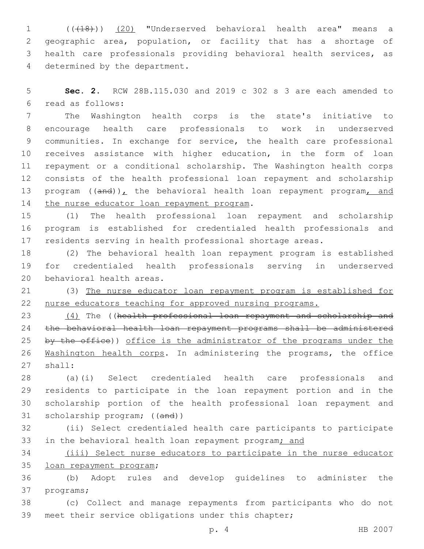(((18))) (20) "Underserved behavioral health area" means a geographic area, population, or facility that has a shortage of health care professionals providing behavioral health services, as 4 determined by the department.

 **Sec. 2.** RCW 28B.115.030 and 2019 c 302 s 3 are each amended to read as follows:6

 The Washington health corps is the state's initiative to encourage health care professionals to work in underserved communities. In exchange for service, the health care professional receives assistance with higher education, in the form of loan repayment or a conditional scholarship. The Washington health corps consists of the health professional loan repayment and scholarship 13 program  $((and))_L$  the behavioral health loan repayment program, and 14 the nurse educator loan repayment program.

 (1) The health professional loan repayment and scholarship program is established for credentialed health professionals and residents serving in health professional shortage areas.

 (2) The behavioral health loan repayment program is established for credentialed health professionals serving in underserved 20 behavioral health areas.

 (3) The nurse educator loan repayment program is established for nurse educators teaching for approved nursing programs.

23 (4) The ((health professional loan repayment and scholarship and the behavioral health loan repayment programs shall be administered 25 by the office)) office is the administrator of the programs under the Washington health corps. In administering the programs, the office 27 shall:

 (a)(i) Select credentialed health care professionals and residents to participate in the loan repayment portion and in the scholarship portion of the health professional loan repayment and 31 scholarship program; ((and))

 (ii) Select credentialed health care participants to participate 33 in the behavioral health loan repayment program; and

 (iii) Select nurse educators to participate in the nurse educator 35 loan repayment program;

 (b) Adopt rules and develop guidelines to administer the 37 programs;

 (c) Collect and manage repayments from participants who do not meet their service obligations under this chapter;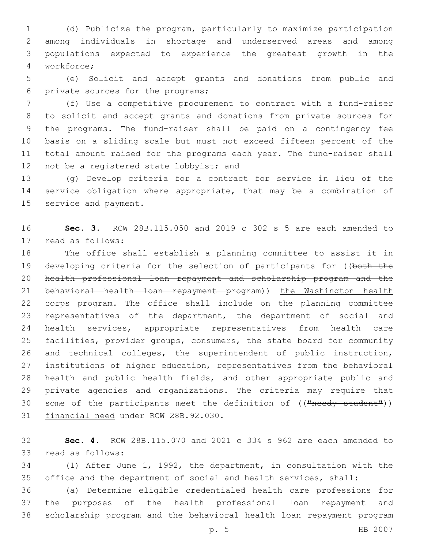(d) Publicize the program, particularly to maximize participation among individuals in shortage and underserved areas and among populations expected to experience the greatest growth in the workforce;4

 (e) Solicit and accept grants and donations from public and 6 private sources for the programs;

 (f) Use a competitive procurement to contract with a fund-raiser to solicit and accept grants and donations from private sources for the programs. The fund-raiser shall be paid on a contingency fee basis on a sliding scale but must not exceed fifteen percent of the total amount raised for the programs each year. The fund-raiser shall 12 not be a registered state lobbyist; and

 (g) Develop criteria for a contract for service in lieu of the service obligation where appropriate, that may be a combination of 15 service and payment.

 **Sec. 3.** RCW 28B.115.050 and 2019 c 302 s 5 are each amended to 17 read as follows:

 The office shall establish a planning committee to assist it in 19 developing criteria for the selection of participants for ((both the health professional loan repayment and scholarship program and the 21 behavioral health loan repayment program)) the Washington health 22 corps program. The office shall include on the planning committee representatives of the department, the department of social and health services, appropriate representatives from health care facilities, provider groups, consumers, the state board for community and technical colleges, the superintendent of public instruction, institutions of higher education, representatives from the behavioral health and public health fields, and other appropriate public and private agencies and organizations. The criteria may require that 30 some of the participants meet the definition of (("needy student")) 31 financial need under RCW 28B.92.030.

 **Sec. 4.** RCW 28B.115.070 and 2021 c 334 s 962 are each amended to 33 read as follows:

 (1) After June 1, 1992, the department, in consultation with the office and the department of social and health services, shall:

 (a) Determine eligible credentialed health care professions for the purposes of the health professional loan repayment and scholarship program and the behavioral health loan repayment program

p. 5 HB 2007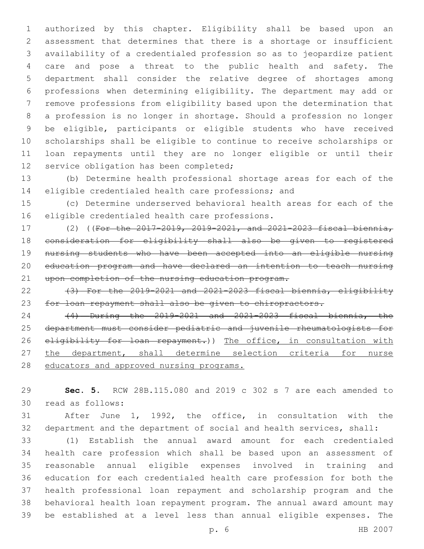authorized by this chapter. Eligibility shall be based upon an assessment that determines that there is a shortage or insufficient availability of a credentialed profession so as to jeopardize patient care and pose a threat to the public health and safety. The department shall consider the relative degree of shortages among professions when determining eligibility. The department may add or remove professions from eligibility based upon the determination that a profession is no longer in shortage. Should a profession no longer be eligible, participants or eligible students who have received scholarships shall be eligible to continue to receive scholarships or loan repayments until they are no longer eligible or until their 12 service obligation has been completed;

 (b) Determine health professional shortage areas for each of the eligible credentialed health care professions; and

 (c) Determine underserved behavioral health areas for each of the 16 eligible credentialed health care professions.

 (2) ((For the 2017-2019, 2019-2021, and 2021-2023 fiscal biennia, consideration for eligibility shall also be given to registered nursing students who have been accepted into an eligible nursing education program and have declared an intention to teach nursing 21 upon completion of the nursing education program.

22  $(3)$  For the 2019-2021 and 2021-2023 fiscal biennia, eligibility for loan repayment shall also be given to chiropractors.

 (4) During the 2019-2021 and 2021-2023 fiscal biennia, the department must consider pediatric and juvenile rheumatologists for 26 eligibility for loan repayment.)) The office, in consultation with 27 the department, shall determine selection criteria for nurse 28 educators and approved nursing programs.

 **Sec. 5.** RCW 28B.115.080 and 2019 c 302 s 7 are each amended to read as follows:30

 After June 1, 1992, the office, in consultation with the department and the department of social and health services, shall:

 (1) Establish the annual award amount for each credentialed health care profession which shall be based upon an assessment of reasonable annual eligible expenses involved in training and education for each credentialed health care profession for both the health professional loan repayment and scholarship program and the behavioral health loan repayment program. The annual award amount may be established at a level less than annual eligible expenses. The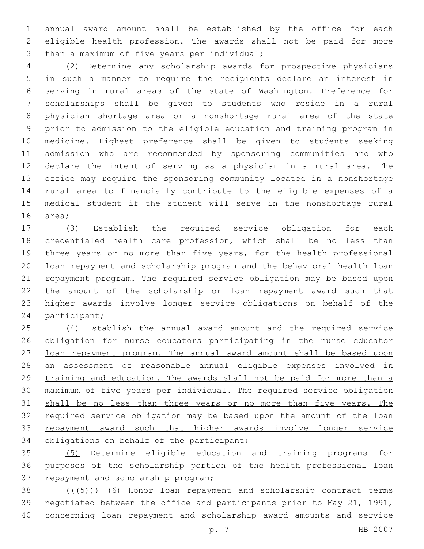annual award amount shall be established by the office for each eligible health profession. The awards shall not be paid for more 3 than a maximum of five years per individual;

 (2) Determine any scholarship awards for prospective physicians in such a manner to require the recipients declare an interest in serving in rural areas of the state of Washington. Preference for scholarships shall be given to students who reside in a rural physician shortage area or a nonshortage rural area of the state prior to admission to the eligible education and training program in medicine. Highest preference shall be given to students seeking admission who are recommended by sponsoring communities and who declare the intent of serving as a physician in a rural area. The office may require the sponsoring community located in a nonshortage rural area to financially contribute to the eligible expenses of a medical student if the student will serve in the nonshortage rural 16 area;

 (3) Establish the required service obligation for each credentialed health care profession, which shall be no less than three years or no more than five years, for the health professional loan repayment and scholarship program and the behavioral health loan repayment program. The required service obligation may be based upon the amount of the scholarship or loan repayment award such that higher awards involve longer service obligations on behalf of the 24 participant;

 (4) Establish the annual award amount and the required service 26 obligation for nurse educators participating in the nurse educator 27 loan repayment program. The annual award amount shall be based upon an assessment of reasonable annual eligible expenses involved in 29 training and education. The awards shall not be paid for more than a maximum of five years per individual. The required service obligation 31 shall be no less than three years or no more than five years. The required service obligation may be based upon the amount of the loan 33 repayment award such that higher awards involve longer service 34 obligations on behalf of the participant;

 (5) Determine eligible education and training programs for purposes of the scholarship portion of the health professional loan 37 repayment and scholarship program;

 ( $(\overline{+5})$ ) (6) Honor loan repayment and scholarship contract terms negotiated between the office and participants prior to May 21, 1991, concerning loan repayment and scholarship award amounts and service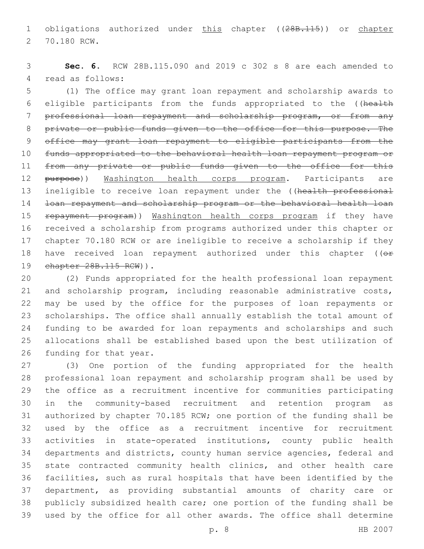1 obligations authorized under this chapter ((28B.115)) or chapter 2 70.180 RCW.

 **Sec. 6.** RCW 28B.115.090 and 2019 c 302 s 8 are each amended to 4 read as follows:

 (1) The office may grant loan repayment and scholarship awards to eligible participants from the funds appropriated to the ((health professional loan repayment and scholarship program, or from any 8 private or public funds given to the office for this purpose. The office may grant loan repayment to eligible participants from the funds appropriated to the behavioral health loan repayment program or 11 from any private or public funds given to the office for this 12 purpose)) Washington health corps program. Participants are 13 ineligible to receive loan repayment under the ((health professional loan repayment and scholarship program or the behavioral health loan 15 repayment program)) Washington health corps program if they have received a scholarship from programs authorized under this chapter or chapter 70.180 RCW or are ineligible to receive a scholarship if they 18 have received loan repayment authorized under this chapter ((or 19 chapter 28B.115 RCW) ).

 (2) Funds appropriated for the health professional loan repayment and scholarship program, including reasonable administrative costs, may be used by the office for the purposes of loan repayments or scholarships. The office shall annually establish the total amount of funding to be awarded for loan repayments and scholarships and such allocations shall be established based upon the best utilization of 26 funding for that year.

 (3) One portion of the funding appropriated for the health professional loan repayment and scholarship program shall be used by the office as a recruitment incentive for communities participating in the community-based recruitment and retention program as authorized by chapter 70.185 RCW; one portion of the funding shall be used by the office as a recruitment incentive for recruitment activities in state-operated institutions, county public health departments and districts, county human service agencies, federal and state contracted community health clinics, and other health care facilities, such as rural hospitals that have been identified by the department, as providing substantial amounts of charity care or publicly subsidized health care; one portion of the funding shall be used by the office for all other awards. The office shall determine

p. 8 HB 2007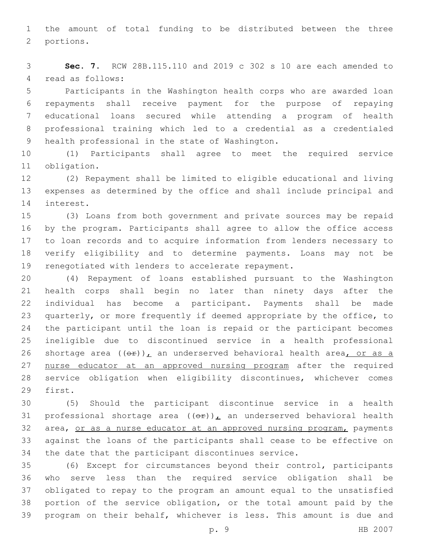the amount of total funding to be distributed between the three 2 portions.

 **Sec. 7.** RCW 28B.115.110 and 2019 c 302 s 10 are each amended to 4 read as follows:

 Participants in the Washington health corps who are awarded loan repayments shall receive payment for the purpose of repaying educational loans secured while attending a program of health professional training which led to a credential as a credentialed 9 health professional in the state of Washington.

 (1) Participants shall agree to meet the required service 11 obligation.

 (2) Repayment shall be limited to eligible educational and living expenses as determined by the office and shall include principal and 14 interest.

 (3) Loans from both government and private sources may be repaid by the program. Participants shall agree to allow the office access to loan records and to acquire information from lenders necessary to verify eligibility and to determine payments. Loans may not be renegotiated with lenders to accelerate repayment.

 (4) Repayment of loans established pursuant to the Washington health corps shall begin no later than ninety days after the individual has become a participant. Payments shall be made quarterly, or more frequently if deemed appropriate by the office, to the participant until the loan is repaid or the participant becomes ineligible due to discontinued service in a health professional 26 shortage area  $((\theta \cdot \hat{r}))_L$  an underserved behavioral health area, or as a 27 nurse educator at an approved nursing program after the required service obligation when eligibility discontinues, whichever comes 29 first.

 (5) Should the participant discontinue service in a health 31 professional shortage area  $((\theta \cdot \mathbf{r}))$ , an underserved behavioral health 32 area, or as a nurse educator at an approved nursing program, payments against the loans of the participants shall cease to be effective on the date that the participant discontinues service.

 (6) Except for circumstances beyond their control, participants who serve less than the required service obligation shall be obligated to repay to the program an amount equal to the unsatisfied portion of the service obligation, or the total amount paid by the program on their behalf, whichever is less. This amount is due and

p. 9 HB 2007